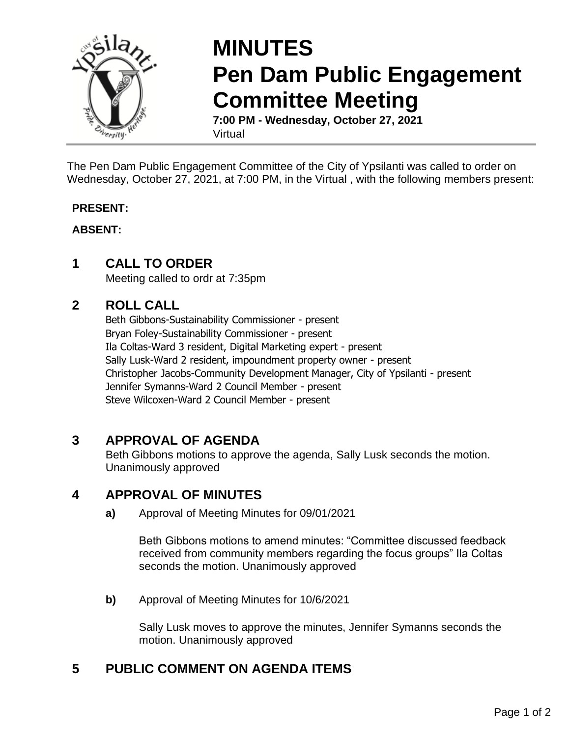

# **MINUTES Pen Dam Public Engagement Committee Meeting**

**7:00 PM - Wednesday, October 27, 2021** Virtual

The Pen Dam Public Engagement Committee of the City of Ypsilanti was called to order on Wednesday, October 27, 2021, at 7:00 PM, in the Virtual , with the following members present:

#### **PRESENT:**

#### **ABSENT:**

#### **1 CALL TO ORDER**

Meeting called to ordr at 7:35pm

#### **2 ROLL CALL**

Beth Gibbons-Sustainability Commissioner - present Bryan Foley-Sustainability Commissioner - present Ila Coltas-Ward 3 resident, Digital Marketing expert - present Sally Lusk-Ward 2 resident, impoundment property owner - present Christopher Jacobs-Community Development Manager, City of Ypsilanti - present Jennifer Symanns-Ward 2 Council Member - present Steve Wilcoxen-Ward 2 Council Member - present

#### **3 APPROVAL OF AGENDA**

Beth Gibbons motions to approve the agenda, Sally Lusk seconds the motion. Unanimously approved

#### **4 APPROVAL OF MINUTES**

**a)** Approval of Meeting Minutes for 09/01/2021

Beth Gibbons motions to amend minutes: "Committee discussed feedback received from community members regarding the focus groups" Ila Coltas seconds the motion. Unanimously approved

**b)** Approval of Meeting Minutes for 10/6/2021

Sally Lusk moves to approve the minutes, Jennifer Symanns seconds the motion. Unanimously approved

### **5 PUBLIC COMMENT ON AGENDA ITEMS**